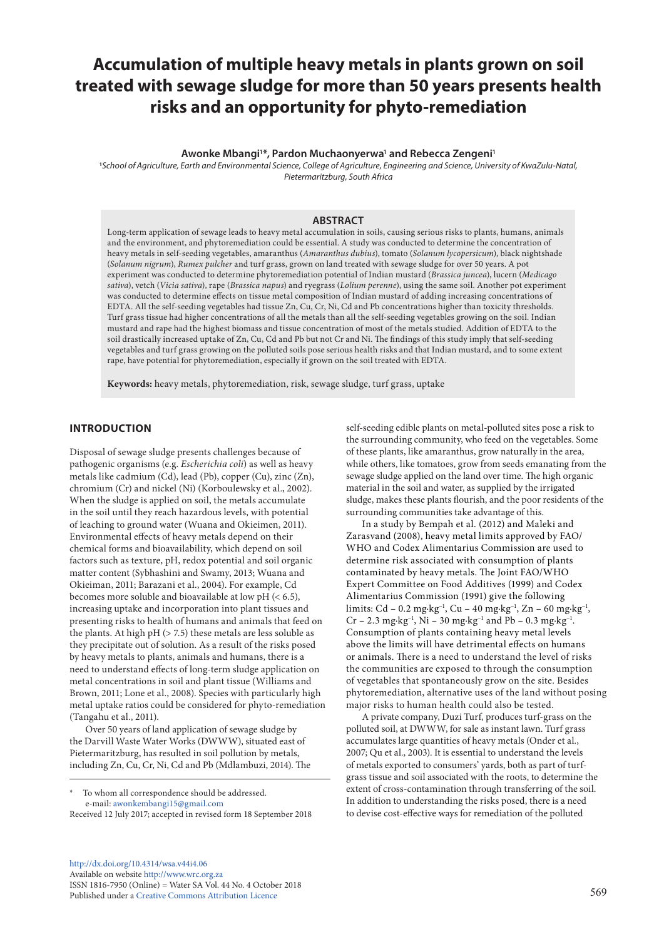# **Accumulation of multiple heavy metals in plants grown on soil treated with sewage sludge for more than 50 years presents health risks and an opportunity for phyto-remediation**

Awonke Mbangi<sup>1\*</sup>, Pardon Muchaonyerwa<sup>1</sup> and Rebecca Zengeni<sup>1</sup>

**1** *School of Agriculture, Earth and Environmental Science, College of Agriculture, Engineering and Science, University of KwaZulu-Natal, Pietermaritzburg, South Africa*

#### **ABSTRACT**

Long-term application of sewage leads to heavy metal accumulation in soils, causing serious risks to plants, humans, animals and the environment, and phytoremediation could be essential. A study was conducted to determine the concentration of heavy metals in self-seeding vegetables, amaranthus (*Amaranthus dubius*), tomato (*Solanum lycopersicum*), black nightshade (*Solanum nigrum*), *Rumex pulcher* and turf grass, grown on land treated with sewage sludge for over 50 years. A pot experiment was conducted to determine phytoremediation potential of Indian mustard (*Brassica juncea*), lucern (*Medicago sativa*), vetch (*Vicia sativa*), rape (*Brassica napus*) and ryegrass (*Lolium perenne*), using the same soil. Another pot experiment was conducted to determine effects on tissue metal composition of Indian mustard of adding increasing concentrations of EDTA. All the self-seeding vegetables had tissue Zn, Cu, Cr, Ni, Cd and Pb concentrations higher than toxicity thresholds. Turf grass tissue had higher concentrations of all the metals than all the self-seeding vegetables growing on the soil. Indian mustard and rape had the highest biomass and tissue concentration of most of the metals studied. Addition of EDTA to the soil drastically increased uptake of Zn, Cu, Cd and Pb but not Cr and Ni. The findings of this study imply that self-seeding vegetables and turf grass growing on the polluted soils pose serious health risks and that Indian mustard, and to some extent rape, have potential for phytoremediation, especially if grown on the soil treated with EDTA.

**Keywords:** heavy metals, phytoremediation, risk, sewage sludge, turf grass, uptake

## **INTRODUCTION**

Disposal of sewage sludge presents challenges because of pathogenic organisms (e.g. *Escherichia coli*) as well as heavy metals like cadmium (Cd), lead (Pb), copper (Cu), zinc (Zn), chromium (Cr) and nickel (Ni) (Korboulewsky et al., 2002). When the sludge is applied on soil, the metals accumulate in the soil until they reach hazardous levels, with potential of leaching to ground water (Wuana and Okieimen, 2011). Environmental effects of heavy metals depend on their chemical forms and bioavailability, which depend on soil factors such as texture, pH, redox potential and soil organic matter content (Sybhashini and Swamy, 2013; Wuana and Okieiman, 2011; Barazani et al., 2004). For example, Cd becomes more soluble and bioavailable at low pH (< 6.5), increasing uptake and incorporation into plant tissues and presenting risks to health of humans and animals that feed on the plants. At high pH  $($  > 7.5) these metals are less soluble as they precipitate out of solution. As a result of the risks posed by heavy metals to plants, animals and humans, there is a need to understand effects of long-term sludge application on metal concentrations in soil and plant tissue (Williams and Brown, 2011; Lone et al., 2008). Species with particularly high metal uptake ratios could be considered for phyto-remediation (Tangahu et al., 2011).

Over 50 years of land application of sewage sludge by the Darvill Waste Water Works (DWWW), situated east of Pietermaritzburg, has resulted in soil pollution by metals, including Zn, Cu, Cr, Ni, Cd and Pb (Mdlambuzi, 2014). The

To whom all correspondence should be addressed. e-mail: [awonkembangi15@gmail.com](mailto:awonkembangi15@gmail.com)

Received 12 July 2017; accepted in revised form 18 September 2018

[http://dx.doi.org/10.4314/wsa.v44i4.](http://dx.doi.org/10.4314/wsa.v44i4.06)06 Available on website<http://www.wrc.org.za> ISSN 1816-7950 (Online) = Water SA Vol. 44 No. 4 October 2018 Published under a [Creative Commons Attribution Licence](https://creativecommons.org/licenses/by/4.0/) 569

self-seeding edible plants on metal-polluted sites pose a risk to the surrounding community, who feed on the vegetables. Some of these plants, like amaranthus, grow naturally in the area, while others, like tomatoes, grow from seeds emanating from the sewage sludge applied on the land over time. The high organic material in the soil and water, as supplied by the irrigated sludge, makes these plants flourish, and the poor residents of the surrounding communities take advantage of this.

In a study by Bempah et al. (2012) and Maleki and Zarasvand (2008), heavy metal limits approved by FAO/ WHO and Codex Alimentarius Commission are used to determine risk associated with consumption of plants contaminated by heavy metals. The Joint FAO/WHO Expert Committee on Food Additives (1999) and Codex Alimentarius Commission (1991) give the following limits: Cd – 0.2 mg·kg−1, Cu – 40 mg·kg−1, Zn – 60 mg·kg−1, Cr – 2.3 mg·kg<sup>-1</sup>, Ni – 30 mg·kg<sup>-1</sup> and Pb – 0.3 mg·kg<sup>-1</sup>. Consumption of plants containing heavy metal levels above the limits will have detrimental effects on humans or animals. There is a need to understand the level of risks the communities are exposed to through the consumption of vegetables that spontaneously grow on the site. Besides phytoremediation, alternative uses of the land without posing major risks to human health could also be tested.

A private company, Duzi Turf, produces turf-grass on the polluted soil, at DWWW, for sale as instant lawn. Turf grass accumulates large quantities of heavy metals (Onder et al*.*, 2007; Qu et al*.*, 2003). It is essential to understand the levels of metals exported to consumers' yards, both as part of turfgrass tissue and soil associated with the roots, to determine the extent of cross-contamination through transferring of the soil. In addition to understanding the risks posed, there is a need to devise cost-effective ways for remediation of the polluted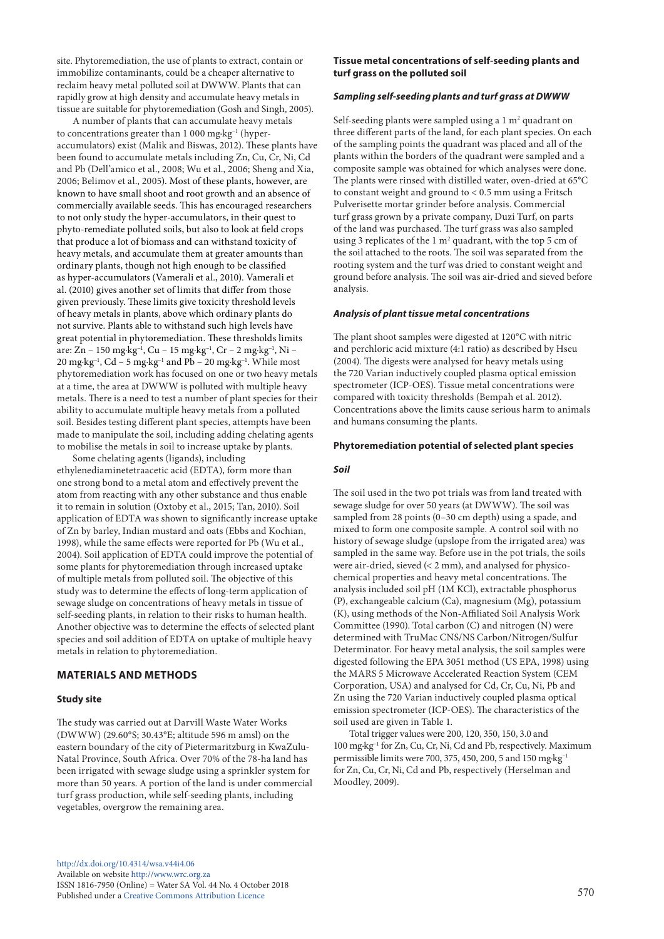site. Phytoremediation, the use of plants to extract, contain or immobilize contaminants, could be a cheaper alternative to reclaim heavy metal polluted soil at DWWW. Plants that can rapidly grow at high density and accumulate heavy metals in tissue are suitable for phytoremediation (Gosh and Singh, 2005).

A number of plants that can accumulate heavy metals to concentrations greater than 1 000 mg·kg<sup>-1</sup> (hyperaccumulators) exist (Malik and Biswas, 2012). These plants have been found to accumulate metals including Zn, Cu, Cr, Ni, Cd and Pb (Dell'amico et al., 2008; Wu et al., 2006; Sheng and Xia, 2006; Belimov et al., 2005). Most of these plants, however, are known to have small shoot and root growth and an absence of commercially available seeds. This has encouraged researchers to not only study the hyper-accumulators, in their quest to phyto-remediate polluted soils, but also to look at field crops that produce a lot of biomass and can withstand toxicity of heavy metals, and accumulate them at greater amounts than ordinary plants, though not high enough to be classified as hyper-accumulators (Vamerali et al., 2010). Vamerali et al. (2010) gives another set of limits that differ from those given previously. These limits give toxicity threshold levels of heavy metals in plants, above which ordinary plants do not survive. Plants able to withstand such high levels have great potential in phytoremediation. These thresholds limits are: Zn – 150 mg·kg−1, Cu – 15 mg·kg−1, Cr – 2 mg·kg−1, Ni – 20 mg·kg<sup>-1</sup>, Cd – 5 mg·kg<sup>-1</sup> and Pb – 20 mg·kg<sup>-1</sup>. While most phytoremediation work has focused on one or two heavy metals at a time, the area at DWWW is polluted with multiple heavy metals. There is a need to test a number of plant species for their ability to accumulate multiple heavy metals from a polluted soil. Besides testing different plant species, attempts have been made to manipulate the soil, including adding chelating agents to mobilise the metals in soil to increase uptake by plants.

Some chelating agents (ligands), including ethylenediaminetetraacetic acid (EDTA), form more than one strong bond to a metal atom and effectively prevent the atom from reacting with any other substance and thus enable it to remain in solution (Oxtoby et al., 2015; Tan, 2010). Soil application of EDTA was shown to significantly increase uptake of Zn by barley, Indian mustard and oats (Ebbs and Kochian, 1998), while the same effects were reported for Pb (Wu et al., 2004). Soil application of EDTA could improve the potential of some plants for phytoremediation through increased uptake of multiple metals from polluted soil. The objective of this study was to determine the effects of long-term application of sewage sludge on concentrations of heavy metals in tissue of self-seeding plants, in relation to their risks to human health. Another objective was to determine the effects of selected plant species and soil addition of EDTA on uptake of multiple heavy metals in relation to phytoremediation.

#### **MATERIALS AND METHODS**

#### **Study site**

The study was carried out at Darvill Waste Water Works (DWWW) (29.60°S; 30.43°E; altitude 596 m amsl) on the eastern boundary of the city of Pietermaritzburg in KwaZulu-Natal Province, South Africa. Over 70% of the 78-ha land has been irrigated with sewage sludge using a sprinkler system for more than 50 years. A portion of the land is under commercial turf grass production, while self-seeding plants, including vegetables, overgrow the remaining area.

**Tissue metal concentrations of self-seeding plants and turf grass on the polluted soil** 

#### *Sampling self-seeding plants and turf grass at DWWW*

Self-seeding plants were sampled using a  $1 \text{ m}^2$  quadrant on three different parts of the land, for each plant species. On each of the sampling points the quadrant was placed and all of the plants within the borders of the quadrant were sampled and a composite sample was obtained for which analyses were done. The plants were rinsed with distilled water, oven-dried at 65**°**C to constant weight and ground to < 0.5 mm using a Fritsch Pulverisette mortar grinder before analysis. Commercial turf grass grown by a private company, Duzi Turf, on parts of the land was purchased. The turf grass was also sampled using 3 replicates of the  $1 \text{ m}^2$  quadrant, with the top 5 cm of the soil attached to the roots. The soil was separated from the rooting system and the turf was dried to constant weight and ground before analysis. The soil was air-dried and sieved before analysis.

#### *Analysis of plant tissue metal concentrations*

The plant shoot samples were digested at 120**°**C with nitric and perchloric acid mixture (4:1 ratio) as described by Hseu (2004). The digests were analysed for heavy metals using the 720 Varian inductively coupled plasma optical emission spectrometer (ICP-OES). Tissue metal concentrations were compared with toxicity thresholds (Bempah et al. 2012). Concentrations above the limits cause serious harm to animals and humans consuming the plants.

#### **Phytoremediation potential of selected plant species**

#### *Soil*

The soil used in the two pot trials was from land treated with sewage sludge for over 50 years (at DWWW). The soil was sampled from 28 points (0–30 cm depth) using a spade, and mixed to form one composite sample. A control soil with no history of sewage sludge (upslope from the irrigated area) was sampled in the same way. Before use in the pot trials, the soils were air-dried, sieved (< 2 mm), and analysed for physicochemical properties and heavy metal concentrations. The analysis included soil pH (1M KCl), extractable phosphorus (P), exchangeable calcium (Ca), magnesium (Mg), potassium (K), using methods of the Non-Affiliated Soil Analysis Work Committee (1990). Total carbon (C) and nitrogen (N) were determined with TruMac CNS/NS Carbon/Nitrogen/Sulfur Determinator. For heavy metal analysis, the soil samples were digested following the EPA 3051 method (US EPA, 1998) using the MARS 5 Microwave Accelerated Reaction System (CEM Corporation, USA) and analysed for Cd, Cr, Cu, Ni, Pb and Zn using the 720 Varian inductively coupled plasma optical emission spectrometer (ICP-OES). The characteristics of the soil used are given in Table 1.

Total trigger values were 200, 120, 350, 150, 3.0 and 100 mg·kg−1 for Zn, Cu, Cr, Ni, Cd and Pb, respectively. Maximum permissible limits were 700, 375, 450, 200, 5 and 150 mg·kg−1 for Zn, Cu, Cr, Ni, Cd and Pb, respectively (Herselman and Moodley, 2009).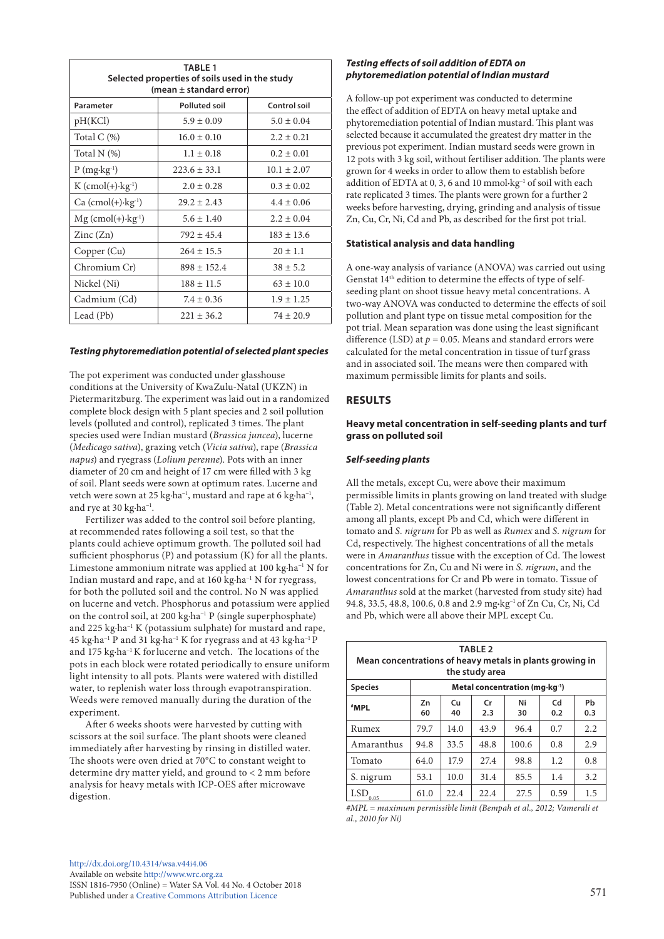| <b>TABLE 1</b><br>Selected properties of soils used in the study<br>(mean ± standard error) |                  |                 |  |  |
|---------------------------------------------------------------------------------------------|------------------|-----------------|--|--|
| <b>Polluted soil</b><br>Control soil<br>Parameter                                           |                  |                 |  |  |
| pH(KCl)                                                                                     | $5.9 \pm 0.09$   | $5.0 \pm 0.04$  |  |  |
| Total C $(\%)$                                                                              | $16.0 \pm 0.10$  | $2.2 \pm 0.21$  |  |  |
| Total N (%)                                                                                 | $1.1 \pm 0.18$   | $0.2 \pm 0.01$  |  |  |
| $P(mg \cdot kg^{-1})$                                                                       | $223.6 \pm 33.1$ | $10.1 \pm 2.07$ |  |  |
| $K (cmol(+) \cdot kg^{-1})$                                                                 | $2.0 \pm 0.28$   | $0.3 \pm 0.02$  |  |  |
| $Ca (cmol(+) \cdot kg^{-1})$                                                                | $29.2 \pm 2.43$  | $4.4 \pm 0.06$  |  |  |
| $Mg$ (cmol(+) $\cdot$ kg <sup>-1</sup> )                                                    | $5.6 \pm 1.40$   | $2.2 \pm 0.04$  |  |  |
| $\text{Zinc}(\text{Zn})$                                                                    | $792 \pm 45.4$   | $183 \pm 13.6$  |  |  |
| Copper (Cu)                                                                                 | $264 \pm 15.5$   | $20 \pm 1.1$    |  |  |
| Chromium Cr)                                                                                | $898 \pm 152.4$  | $38 \pm 5.2$    |  |  |
| Nickel (Ni)                                                                                 | $188 \pm 11.5$   | $63 \pm 10.0$   |  |  |
| Cadmium (Cd)                                                                                | $7.4 \pm 0.36$   | $1.9 \pm 1.25$  |  |  |
| Lead (Pb)                                                                                   | $221 \pm 36.2$   | $74 \pm 20.9$   |  |  |

## *Testing phytoremediation potential of selected plant species*

The pot experiment was conducted under glasshouse conditions at the University of KwaZulu-Natal (UKZN) in Pietermaritzburg. The experiment was laid out in a randomized complete block design with 5 plant species and 2 soil pollution levels (polluted and control), replicated 3 times. The plant species used were Indian mustard (*Brassica juncea*), lucerne (*Medicago sativa*), grazing vetch (*Vicia sativa*), rape (*Brassica napus*) and ryegrass (*Lolium perenne*). Pots with an inner diameter of 20 cm and height of 17 cm were filled with 3 kg of soil. Plant seeds were sown at optimum rates. Lucerne and vetch were sown at 25 kg·ha−1, mustard and rape at 6 kg·ha−1, and rye at 30 kg·ha−1.

Fertilizer was added to the control soil before planting, at recommended rates following a soil test, so that the plants could achieve optimum growth. The polluted soil had sufficient phosphorus (P) and potassium (K) for all the plants. Limestone ammonium nitrate was applied at 100 kg·ha−1 N for Indian mustard and rape, and at 160 kg·ha−1 N for ryegrass, for both the polluted soil and the control. No N was applied on lucerne and vetch. Phosphorus and potassium were applied on the control soil, at 200 kg·ha−1 P (single superphosphate) and 225 kg·ha−1 K (potassium sulphate) for mustard and rape, 45 kg·ha−1 P and 31 kg·ha−1 K for ryegrass and at 43 kg·ha−1 P and 175 kg·ha−1 K forlucerne and vetch. The locations of the pots in each block were rotated periodically to ensure uniform light intensity to all pots. Plants were watered with distilled water, to replenish water loss through evapotranspiration. Weeds were removed manually during the duration of the experiment.

After 6 weeks shoots were harvested by cutting with scissors at the soil surface. The plant shoots were cleaned immediately after harvesting by rinsing in distilled water. The shoots were oven dried at 70**°**C to constant weight to determine dry matter yield, and ground to < 2 mm before analysis for heavy metals with ICP-OES after microwave digestion.

## *Testing effects of soil addition of EDTA on phytoremediation potential of Indian mustard*

A follow-up pot experiment was conducted to determine the effect of addition of EDTA on heavy metal uptake and phytoremediation potential of Indian mustard. This plant was selected because it accumulated the greatest dry matter in the previous pot experiment. Indian mustard seeds were grown in 12 pots with 3 kg soil, without fertiliser addition. The plants were grown for 4 weeks in order to allow them to establish before addition of EDTA at 0, 3, 6 and 10 mmol**·**kg−1 of soil with each rate replicated 3 times. The plants were grown for a further 2 weeks before harvesting, drying, grinding and analysis of tissue Zn, Cu, Cr, Ni, Cd and Pb, as described for the first pot trial.

## **Statistical analysis and data handling**

A one-way analysis of variance (ANOVA) was carried out using Genstat 14th edition to determine the effects of type of selfseeding plant on shoot tissue heavy metal concentrations. A two-way ANOVA was conducted to determine the effects of soil pollution and plant type on tissue metal composition for the pot trial. Mean separation was done using the least significant difference (LSD) at  $p = 0.05$ . Means and standard errors were calculated for the metal concentration in tissue of turf grass and in associated soil. The means were then compared with maximum permissible limits for plants and soils.

# **RESULTS**

## **Heavy metal concentration in self-seeding plants and turf grass on polluted soil**

## *Self-seeding plants*

All the metals, except Cu, were above their maximum permissible limits in plants growing on land treated with sludge (Table 2). Metal concentrations were not significantly different among all plants, except Pb and Cd, which were different in tomato and *S. nigrum* for Pb as well as *Rumex* and *S. nigrum* for Cd, respectively. The highest concentrations of all the metals were in *Amaranthus* tissue with the exception of Cd. The lowest concentrations for Zn, Cu and Ni were in *S. nigrum*, and the lowest concentrations for Cr and Pb were in tomato. Tissue of *Amaranthus* sold at the market (harvested from study site) had 94.8, 33.5, 48.8, 100.6, 0.8 and 2.9 mg·kg<sup>-1</sup> of Zn Cu, Cr, Ni, Cd and Pb, which were all above their MPL except Cu.

| <b>TABLE 2</b><br>Mean concentrations of heavy metals in plants growing in<br>the study area |                                            |          |                      |          |           |           |
|----------------------------------------------------------------------------------------------|--------------------------------------------|----------|----------------------|----------|-----------|-----------|
| <b>Species</b>                                                                               | Metal concentration (mg·kg <sup>-1</sup> ) |          |                      |          |           |           |
| #MPL                                                                                         | Zn<br>60                                   | Cu<br>40 | $\mathsf{Cr}$<br>2.3 | Ni<br>30 | Cd<br>0.2 | Pb<br>0.3 |
| Rumex                                                                                        | 79.7                                       | 14.0     | 43.9                 | 96.4     | 0.7       | 2.2       |
| Amaranthus                                                                                   | 94.8                                       | 33.5     | 48.8                 | 100.6    | 0.8       | 2.9       |
| Tomato                                                                                       | 64.0                                       | 17.9     | 27.4                 | 98.8     | 1.2       | 0.8       |
| S. nigrum                                                                                    | 53.1                                       | 10.0     | 31.4                 | 85.5     | 1.4       | 3.2       |
| LSD<br>0.05                                                                                  | 61.0                                       | 22.4     | 22.4                 | 27.5     | 0.59      | 1.5       |

*#MPL = maximum permissible limit (Bempah et al., 2012; Vamerali et al., 2010 for Ni)*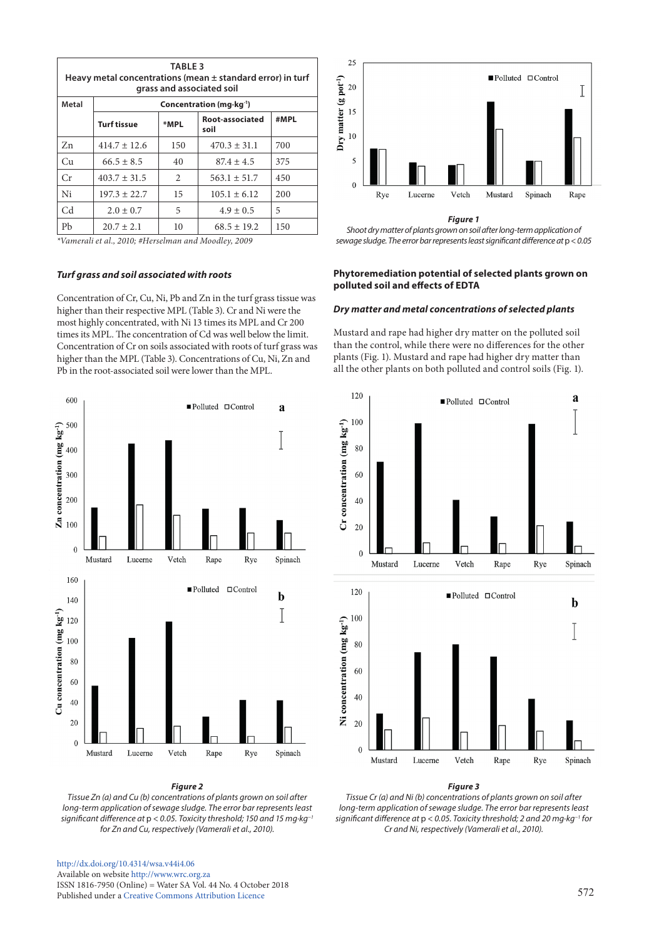| <b>TABLE 3</b><br>Heavy metal concentrations (mean $\pm$ standard error) in turf<br>grass and associated soil |                                         |      |                         |      |  |
|---------------------------------------------------------------------------------------------------------------|-----------------------------------------|------|-------------------------|------|--|
| Metal                                                                                                         | Concentration (mg $\cdot$ kg $\cdot$ 1) |      |                         |      |  |
|                                                                                                               | <b>Turf tissue</b>                      | *MPL | Root-associated<br>soil | #MPL |  |
| Zn                                                                                                            | $414.7 \pm 12.6$                        | 150  | $470.3 \pm 31.1$        | 700  |  |
| Cu                                                                                                            | $66.5 \pm 8.5$                          | 40   | $87.4 \pm 4.5$          | 375  |  |
| Cr                                                                                                            | $403.7 \pm 31.5$                        | 2    | $563.1 \pm 51.7$        | 450  |  |
| Ni                                                                                                            | $197.3 \pm 22.7$                        | 15   | $105.1 \pm 6.12$        | 200  |  |
| C <sub>d</sub>                                                                                                | $2.0 \pm 0.7$                           | 5    | $4.9 \pm 0.5$           | 5    |  |
| Pb                                                                                                            | $20.7 \pm 2.1$                          | 10   | $68.5 \pm 19.2$         | 150  |  |

*\*Vamerali et al., 2010; #Herselman and Moodley, 2009*

#### *Turf grass and soil associated with roots*

Concentration of Cr, Cu, Ni, Pb and Zn in the turf grass tissue was higher than their respective MPL (Table 3). Cr and Ni were the most highly concentrated, with Ni 13 times its MPL and Cr 200 times its MPL. The concentration of Cd was well below the limit. Concentration of Cr on soils associated with roots of turf grass was higher than the MPL (Table 3). Concentrations of Cu, Ni, Zn and Pb in the root-associated soil were lower than the MPL.



## *Figure 2*

*Tissue Zn (a) and Cu (b) concentrations of plants grown on soil after long-term application of sewage sludge. The error bar represents least significant difference at* p *< 0.05. Toxicity threshold; 150 and 15 mg·kg*<sup>−</sup>*<sup>1</sup> for Zn and Cu, respectively (Vamerali et al., 2010).*

#### [http://dx.doi.org/10.4314/wsa.v44i4.0](http://dx.doi.org/10.4314/wsa.v44i4.06)6 Available on website <http://www.wrc.org.za> ISSN 1816-7950 (Online) = Water SA Vol. 44 No. 4 October 2018 Published under a [Creative Commons Attribution Licence](https://creativecommons.org/licenses/by/4.0/) 572



*Figure 1*

*Shoot dry matter of plants grown on soil after long-term application of sewage sludge. The error bar represents least significant difference at* p *< 0.05*

## **Phytoremediation potential of selected plants grown on polluted soil and effects of EDTA**

#### *Dry matter and metal concentrations of selected plants*

Mustard and rape had higher dry matter on the polluted soil than the control, while there were no differences for the other plants (Fig. 1). Mustard and rape had higher dry matter than all the other plants on both polluted and control soils (Fig. 1).





#### *Figure 3*

*Tissue Cr (a) and Ni (b) concentrations of plants grown on soil after long-term application of sewage sludge. The error bar represents least significant difference at* p *< 0.05. Toxicity threshold; 2 and 20 mg·kg*<sup>−</sup>*<sup>1</sup> for Cr and Ni, respectively (Vamerali et al., 2010).*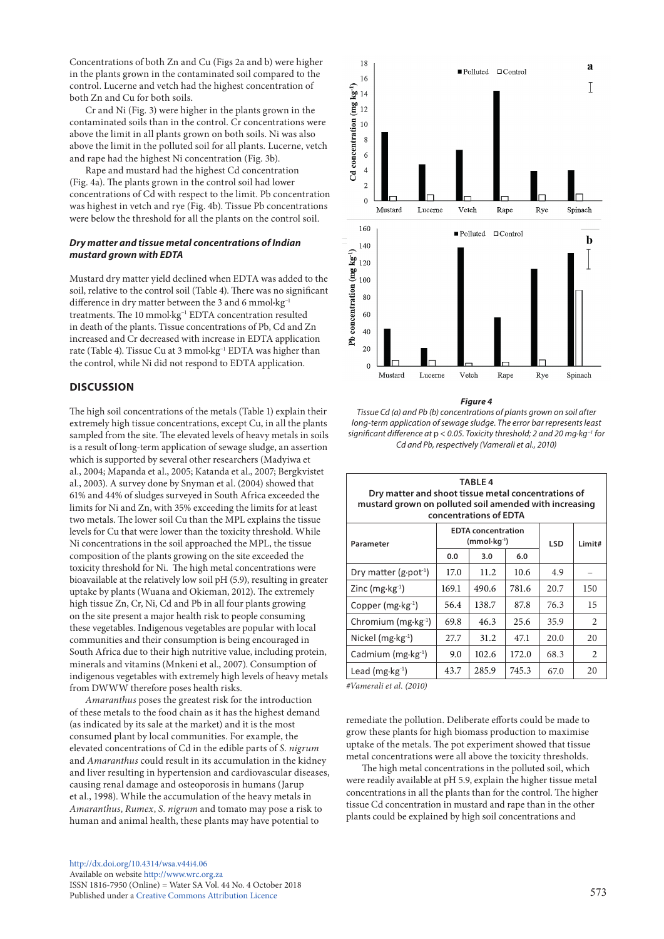Concentrations of both Zn and Cu (Figs 2a and b) were higher in the plants grown in the contaminated soil compared to the control. Lucerne and vetch had the highest concentration of both Zn and Cu for both soils.

Cr and Ni (Fig. 3) were higher in the plants grown in the contaminated soils than in the control. Cr concentrations were above the limit in all plants grown on both soils. Ni was also above the limit in the polluted soil for all plants. Lucerne, vetch and rape had the highest Ni concentration (Fig. 3b).

Rape and mustard had the highest Cd concentration (Fig. 4a). The plants grown in the control soil had lower concentrations of Cd with respect to the limit. Pb concentration was highest in vetch and rye (Fig. 4b). Tissue Pb concentrations were below the threshold for all the plants on the control soil.

### *Dry matter and tissue metal concentrations of Indian mustard grown with EDTA*

Mustard dry matter yield declined when EDTA was added to the soil, relative to the control soil (Table 4). There was no significant difference in dry matter between the 3 and 6 mmol**·**kg−1 treatments. The 10 mmol·kg−1 EDTA concentration resulted in death of the plants. Tissue concentrations of Pb, Cd and Zn increased and Cr decreased with increase in EDTA application rate (Table 4). Tissue Cu at 3 mmol·kg<sup>-1</sup> EDTA was higher than the control, while Ni did not respond to EDTA application.

## **DISCUSSION**

The high soil concentrations of the metals (Table 1) explain their extremely high tissue concentrations, except Cu, in all the plants sampled from the site. The elevated levels of heavy metals in soils is a result of long-term application of sewage sludge, an assertion which is supported by several other researchers (Madyiwa et al., 2004; Mapanda et al., 2005; Katanda et al., 2007; Bergkvistet al., 2003). A survey done by Snyman et al. (2004) showed that 61% and 44% of sludges surveyed in South Africa exceeded the limits for Ni and Zn, with 35% exceeding the limits for at least two metals. The lower soil Cu than the MPL explains the tissue levels for Cu that were lower than the toxicity threshold. While Ni concentrations in the soil approached the MPL, the tissue composition of the plants growing on the site exceeded the toxicity threshold for Ni. The high metal concentrations were bioavailable at the relatively low soil pH (5.9), resulting in greater uptake by plants (Wuana and Okieman, 2012). The extremely high tissue Zn, Cr, Ni, Cd and Pb in all four plants growing on the site present a major health risk to people consuming these vegetables. Indigenous vegetables are popular with local communities and their consumption is being encouraged in South Africa due to their high nutritive value, including protein, minerals and vitamins (Mnkeni et al., 2007). Consumption of indigenous vegetables with extremely high levels of heavy metals from DWWW therefore poses health risks.

*Amaranthus* poses the greatest risk for the introduction of these metals to the food chain as it has the highest demand (as indicated by its sale at the market) and it is the most consumed plant by local communities. For example, the elevated concentrations of Cd in the edible parts of *S. nigrum* and *Amaranthus* could result in its accumulation in the kidney and liver resulting in hypertension and cardiovascular diseases, causing renal damage and osteoporosis in humans (Jarup et al., 1998). While the accumulation of the heavy metals in *Amaranthus*, *Rumex*, *S. nigrum* and tomato may pose a risk to human and animal health, these plants may have potential to



*Figure 4*

*Tissue Cd (a) and Pb (b) concentrations of plants grown on soil after long-term application of sewage sludge. The error bar represents least significant difference at* p *< 0.05. Toxicity threshold; 2 and 20 mg·kg*<sup>−</sup>*<sup>1</sup> for Cd and Pb, respectively (Vamerali et al., 2010)*

| <b>TABLE 4</b><br>Dry matter and shoot tissue metal concentrations of<br>mustard grown on polluted soil amended with increasing<br>concentrations of EDTA |                                            |       |       |            |                |  |
|-----------------------------------------------------------------------------------------------------------------------------------------------------------|--------------------------------------------|-------|-------|------------|----------------|--|
| Parameter                                                                                                                                                 | <b>EDTA</b> concentration<br>$(mmol·kg-1)$ |       |       | <b>LSD</b> | Limit#         |  |
|                                                                                                                                                           | 0.0                                        | 3.0   | 6.0   |            |                |  |
| Dry matter (g.pot <sup>-1</sup> )                                                                                                                         | 17.0                                       | 11.2  | 10.6  | 4.9        |                |  |
| Zinc (mg $\cdot$ kg $^{-1}$ )                                                                                                                             | 169.1                                      | 490.6 | 781.6 | 20.7       | 150            |  |
| Copper $(mg \cdot kg^{-1})$                                                                                                                               | 56.4                                       | 138.7 | 87.8  | 76.3       | 15             |  |
| Chromium ( $mg \cdot kg^{-1}$ )                                                                                                                           | 69.8                                       | 46.3  | 25.6  | 35.9       | $\mathfrak{D}$ |  |
| Nickel $(mg \cdot kg^{-1})$                                                                                                                               | 27.7                                       | 31.2  | 47.1  | 20.0       | 20             |  |
| Cadmium ( $mg \cdot kg^{-1}$ )                                                                                                                            | 9.0                                        | 102.6 | 172.0 | 68.3       | $\mathfrak{D}$ |  |
| Lead $(mg \cdot kg^{-1})$                                                                                                                                 | 43.7                                       | 285.9 | 745.3 | 67.0       | 20             |  |

*#Vamerali et al. (2010)* 

remediate the pollution. Deliberate efforts could be made to grow these plants for high biomass production to maximise uptake of the metals. The pot experiment showed that tissue metal concentrations were all above the toxicity thresholds.

The high metal concentrations in the polluted soil, which were readily available at pH 5.9, explain the higher tissue metal concentrations in all the plants than for the control. The higher tissue Cd concentration in mustard and rape than in the other plants could be explained by high soil concentrations and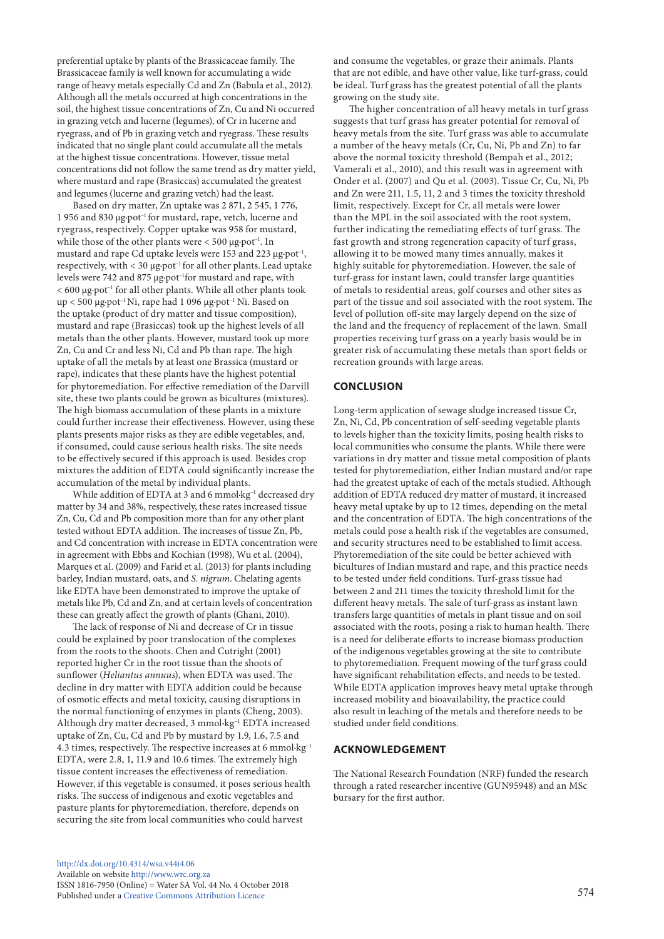preferential uptake by plants of the Brassicaceae family. The Brassicaceae family is well known for accumulating a wide range of heavy metals especially Cd and Zn (Babula et al., 2012). Although all the metals occurred at high concentrations in the soil, the highest tissue concentrations of Zn, Cu and Ni occurred in grazing vetch and lucerne (legumes), of Cr in lucerne and ryegrass, and of Pb in grazing vetch and ryegrass. These results indicated that no single plant could accumulate all the metals at the highest tissue concentrations. However, tissue metal concentrations did not follow the same trend as dry matter yield, where mustard and rape (Brasiccas) accumulated the greatest and legumes (lucerne and grazing vetch) had the least.

Based on dry matter, Zn uptake was 2 871, 2 545, 1 776, 1 956 and 830 µg·pot−1 for mustard, rape, vetch, lucerne and ryegrass, respectively. Copper uptake was 958 for mustard, while those of the other plants were < 500 µg·pot−1. In mustard and rape Cd uptake levels were 153 and 223 µg·pot<sup>-1</sup>, respectively, with < 30 µg·pot−1 for all other plants.Lead uptake levels were 742 and 875 µg·pot−1for mustard and rape, with < 600 µg·pot−1 for all other plants. While all other plants took up < 500 µg·pot−1 Ni, rape had 1 096 µg·pot−1 Ni. Based on the uptake (product of dry matter and tissue composition), mustard and rape (Brasiccas) took up the highest levels of all metals than the other plants. However, mustard took up more Zn, Cu and Cr and less Ni, Cd and Pb than rape. The high uptake of all the metals by at least one Brassica (mustard or rape), indicates that these plants have the highest potential for phytoremediation. For effective remediation of the Darvill site, these two plants could be grown as bicultures (mixtures). The high biomass accumulation of these plants in a mixture could further increase their effectiveness. However, using these plants presents major risks as they are edible vegetables, and, if consumed, could cause serious health risks. The site needs to be effectively secured if this approach is used. Besides crop mixtures the addition of EDTA could significantly increase the accumulation of the metal by individual plants.

While addition of EDTA at 3 and 6 mmol·kg<sup>-1</sup> decreased dry matter by 34 and 38%, respectively, these rates increased tissue Zn, Cu, Cd and Pb composition more than for any other plant tested without EDTA addition. The increases of tissue Zn, Pb, and Cd concentration with increase in EDTA concentration were in agreement with Ebbs and Kochian (1998), Wu et al. (2004), Marques et al. (2009) and Farid et al. (2013) for plants including barley, Indian mustard, oats, and *S. nigrum*. Chelating agents like EDTA have been demonstrated to improve the uptake of metals like Pb, Cd and Zn, and at certain levels of concentration these can greatly affect the growth of plants (Ghani, 2010).

The lack of response of Ni and decrease of Cr in tissue could be explained by poor translocation of the complexes from the roots to the shoots. Chen and Cutright (2001) reported higher Cr in the root tissue than the shoots of sunflower (*Heliantus annuus*), when EDTA was used. The decline in dry matter with EDTA addition could be because of osmotic effects and metal toxicity, causing disruptions in the normal functioning of enzymes in plants (Cheng, 2003). Although dry matter decreased, 3 mmol**·**kg−1 EDTA increased uptake of Zn, Cu, Cd and Pb by mustard by 1.9, 1.6, 7.5 and 4.3 times, respectively. The respective increases at 6 mmol·kg−1 EDTA, were 2.8, 1, 11.9 and 10.6 times. The extremely high tissue content increases the effectiveness of remediation. However, if this vegetable is consumed, it poses serious health risks. The success of indigenous and exotic vegetables and pasture plants for phytoremediation, therefore, depends on securing the site from local communities who could harvest

and consume the vegetables, or graze their animals. Plants that are not edible, and have other value, like turf-grass, could be ideal. Turf grass has the greatest potential of all the plants growing on the study site.

The higher concentration of all heavy metals in turf grass suggests that turf grass has greater potential for removal of heavy metals from the site. Turf grass was able to accumulate a number of the heavy metals (Cr, Cu, Ni, Pb and Zn) to far above the normal toxicity threshold (Bempah et al., 2012; Vamerali et al., 2010), and this result was in agreement with Onder et al. (2007) and Qu et al. (2003). Tissue Cr, Cu, Ni, Pb and Zn were 211, 1.5, 11, 2 and 3 times the toxicity threshold limit, respectively. Except for Cr, all metals were lower than the MPL in the soil associated with the root system, further indicating the remediating effects of turf grass. The fast growth and strong regeneration capacity of turf grass, allowing it to be mowed many times annually, makes it highly suitable for phytoremediation. However, the sale of turf-grass for instant lawn, could transfer large quantities of metals to residential areas, golf courses and other sites as part of the tissue and soil associated with the root system. The level of pollution off-site may largely depend on the size of the land and the frequency of replacement of the lawn. Small properties receiving turf grass on a yearly basis would be in greater risk of accumulating these metals than sport fields or recreation grounds with large areas.

# **CONCLUSION**

Long-term application of sewage sludge increased tissue Cr, Zn, Ni, Cd, Pb concentration of self-seeding vegetable plants to levels higher than the toxicity limits, posing health risks to local communities who consume the plants. While there were variations in dry matter and tissue metal composition of plants tested for phytoremediation, either Indian mustard and/or rape had the greatest uptake of each of the metals studied. Although addition of EDTA reduced dry matter of mustard, it increased heavy metal uptake by up to 12 times, depending on the metal and the concentration of EDTA. The high concentrations of the metals could pose a health risk if the vegetables are consumed, and security structures need to be established to limit access. Phytoremediation of the site could be better achieved with bicultures of Indian mustard and rape, and this practice needs to be tested under field conditions. Turf-grass tissue had between 2 and 211 times the toxicity threshold limit for the different heavy metals. The sale of turf-grass as instant lawn transfers large quantities of metals in plant tissue and on soil associated with the roots, posing a risk to human health. There is a need for deliberate efforts to increase biomass production of the indigenous vegetables growing at the site to contribute to phytoremediation. Frequent mowing of the turf grass could have significant rehabilitation effects, and needs to be tested. While EDTA application improves heavy metal uptake through increased mobility and bioavailability, the practice could also result in leaching of the metals and therefore needs to be studied under field conditions.

# **ACKNOWLEDGEMENT**

The National Research Foundation (NRF) funded the research through a rated researcher incentive (GUN95948) and an MSc bursary for the first author.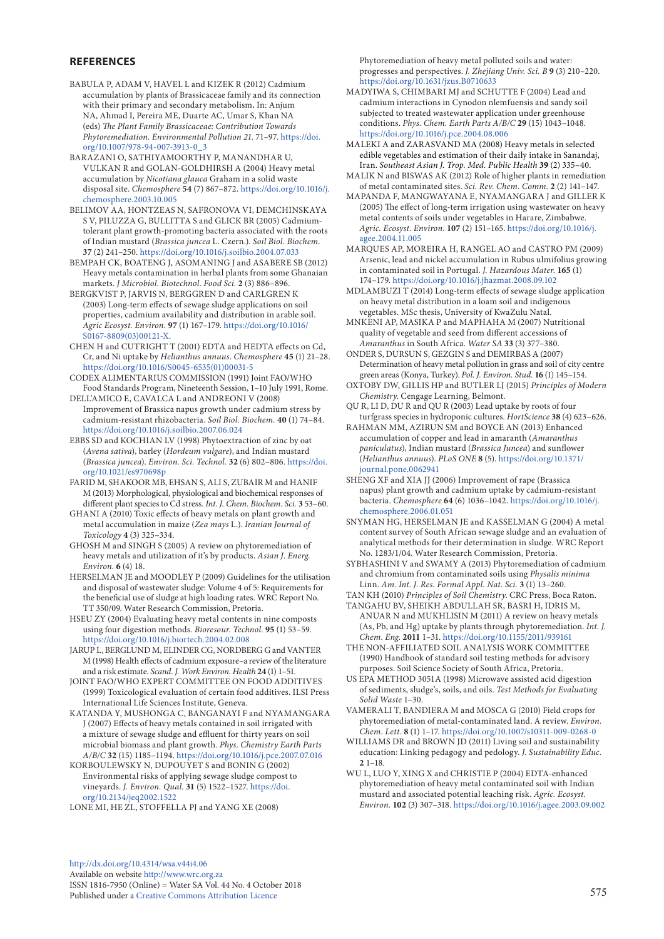## **REFERENCES**

- BABULA P, ADAM V, HAVEL L and KIZEK R (2012) Cadmium accumulation by plants of Brassicaceae family and its connection with their primary and secondary metabolism**.** In: Anjum NA, Ahmad I, Pereira ME, Duarte AC, Umar S, Khan NA (eds) *The Plant Family Brassicaceae: Contribution Towards Phytoremediation. Environmental Pollution 21*. 71–97. [https://doi.](https://doi.org/10.1007/978-94-007-3913-0_3) [org/10.1007/978-94-007-3913-0\\_3](https://doi.org/10.1007/978-94-007-3913-0_3)
- BARAZANI O, SATHIYAMOORTHY P, MANANDHAR U, VULKAN R and GOLAN-GOLDHIRSH A (2004) Heavy metal accumulation by *Nicotiana glauca* Graham in a solid waste disposal site. *Chemosphere* **54** (7) 867–872. [https://doi.org/10.1016/j.](https://doi.org/10.1016/j.chemosphere.2003.10.005) [chemosphere.2003.10.005](https://doi.org/10.1016/j.chemosphere.2003.10.005)
- BELIMOV AA, HONTZEAS N, SAFRONOVA VI, DEMCHINSKAYA S V, PILUZZA G, BULLITTA S and GLICK BR (2005) Cadmiumtolerant plant growth-promoting bacteria associated with the roots of Indian mustard (*Brassica juncea* L. Czern.). *Soil Biol. Biochem.* **37** (2) 241–250. <https://doi.org/10.1016/j.soilbio.2004.07.033>
- BEMPAH CK, BOATENG J, ASOMANING J and ASABERE SB (2012) Heavy metals contamination in herbal plants from some Ghanaian markets. *J Microbiol. Biotechnol. Food Sci.* **2** (3) 886–896.
- BERGKVIST P, JARVIS N, BERGGREN D and CARLGREN K (2003) Long-term effects of sewage sludge applications on soil properties, cadmium availability and distribution in arable soil. *Agric Ecosyst. Environ.* **97** (1) 167–179. [https://doi.org/10.1016/](https://doi.org/10.1016/S0167-8809(03)00121-X) [S0167-8809\(03\)00121-X.](https://doi.org/10.1016/S0167-8809(03)00121-X)
- CHEN H and CUTRIGHT T (2001) EDTA and HEDTA effects on Cd, Cr, and Ni uptake by *Helianthus annuus*. *Chemosphere* **45** (1) 21–28. [https://doi.org/10.1016/S0045-6535\(01\)00031-5](https://doi.org/10.1016/S0045-6535(01)00031-5)
- CODEX ALIMENTARIUS COMMISSION (1991) Joint FAO/WHO Food Standards Program, Nineteenth Session, 1–10 July 1991, Rome.
- DELL'AMICO E, CAVALCA L and ANDREONI V (2008) Improvement of Brassica napus growth under cadmium stress by cadmium-resistant rhizobacteria. *Soil Biol. Biochem.* **40** (1) 74–84. <https://doi.org/10.1016/j.soilbio.2007.06.024>
- EBBS SD and KOCHIAN LV (1998) Phytoextraction of zinc by oat (*Avena sativa*), barley (*Hordeum vulgare*), and Indian mustard (*Brassica juncea*). *Environ. Sci. Technol.* **32** (6) 802–806. [https://doi.](https://doi.org/10.1021/es970698p) [org/10.1021/es970698p](https://doi.org/10.1021/es970698p)
- FARID M, SHAKOOR MB, EHSAN S, ALI S, ZUBAIR M and HANIF M (2013) Morphological, physiological and biochemical responses of different plant species to Cd stress. *Int. J. Chem. Biochem. Sci.* **3** 53–60.
- GHANI A (2010) Toxic effects of heavy metals on plant growth and metal accumulation in maize (*Zea mays* L.). *Iranian Journal of Toxicology* **4** (3) 325–334.
- GHOSH M and SINGH S (2005) A review on phytoremediation of heavy metals and utilization of it's by products. *Asian J. Energ. Environ.* **6** (4) 18.
- HERSELMAN JE and MOODLEY P (2009) Guidelines for the utilisation and disposal of wastewater sludge: Volume 4 of 5: Requirements for the beneficial use of sludge at high loading rates. WRC Report No. TT 350/09. Water Research Commission, Pretoria.
- HSEU ZY (2004) Evaluating heavy metal contents in nine composts using four digestion methods. *Bioresour. Technol.* **95** (1) 53–59. <https://doi.org/10.1016/j.biortech.2004.02.008>
- JARUP L, BERGLUND M, ELINDER CG, NORDBERG G and VANTER M (1998) Health effects of cadmium exposure–a review of the literature and a risk estimate. *Scand. J. Work Environ. Health* **24** (1) 1–51.
- JOINT FAO/WHO EXPERT COMMITTEE ON FOOD ADDITIVES (1999) Toxicological evaluation of certain food additives. ILSI Press International Life Sciences Institute, Geneva.
- KATANDA Y, MUSHONGA C, BANGANAYI F and NYAMANGARA J (2007) Effects of heavy metals contained in soil irrigated with a mixture of sewage sludge and effluent for thirty years on soil microbial biomass and plant growth. *Phys. Chemistry Earth Parts A/B/C* **32** (15) 1185–1194.<https://doi.org/10.1016/j.pce.2007.07.016>
- KORBOULEWSKY N, DUPOUYET S and BONIN G (2002) Environmental risks of applying sewage sludge compost to vineyards. *J. Environ. Qual.* **31** (5) 1522–1527. [https://doi.](https://doi.org/10.2134/jeq2002.1522) [org/10.2134/jeq2002.1522](https://doi.org/10.2134/jeq2002.1522)
- LONE MI, HE ZL, STOFFELLA PJ and YANG XE (2008)

Phytoremediation of heavy metal polluted soils and water: progresses and perspectives. *J. Zhejiang Univ. Sci. B* **9** (3) 210–220. <https://doi.org/10.1631/jzus.B0710633>

- MADYIWA S, CHIMBARI MJ and SCHUTTE F (2004) Lead and cadmium interactions in Cynodon nlemfuensis and sandy soil subjected to treated wastewater application under greenhouse conditions. *Phys. Chem. Earth Parts A/B/C* **29** (15) 1043–1048. <https://doi.org/10.1016/j.pce.2004.08.006>
- MALEKI A and ZARASVAND MA (2008) Heavy metals in selected edible vegetables and estimation of their daily intake in Sanandaj, Iran. *Southeast Asian J. Trop. Med. Public Health* **39** (2) 335–40.
- MALIK N and BISWAS AK (2012) Role of higher plants in remediation of metal contaminated sites. *Sci. Rev. Chem. Comm.* **2** (2) 141–147.
- MAPANDA F, MANGWAYANA E, NYAMANGARA J and GILLER K (2005) The effect of long-term irrigation using wastewater on heavy metal contents of soils under vegetables in Harare, Zimbabwe. *Agric. Ecosyst. Environ.* **107** (2) 151–165. [https://doi.org/10.1016/j.](https://doi.org/10.1016/j.agee.2004.11.005) [agee.2004.11.005](https://doi.org/10.1016/j.agee.2004.11.005)
- MARQUES AP, MOREIRA H, RANGEL AO and CASTRO PM (2009) Arsenic, lead and nickel accumulation in Rubus ulmifolius growing in contaminated soil in Portugal. *J. Hazardous Mater.* **165** (1) 174–179.<https://doi.org/10.1016/j.jhazmat.2008.09.102>
- MDLAMBUZI T (2014) Long-term effects of sewage sludge application on heavy metal distribution in a loam soil and indigenous vegetables. MSc thesis, University of KwaZulu Natal*.*
- MNKENI AP, MASIKA P and MAPHAHA M (2007) Nutritional quality of vegetable and seed from different accessions of *Amaranthus* in South Africa. *Water SA* **33** (3) 377–380.

ONDER S, DURSUN S, GEZGIN S and DEMIRBAS A (2007) Determination of heavy metal pollution in grass and soil of city centre green areas (Konya, Turkey). *Pol. J. Environ. Stud.* **16** (1) 145–154.

- OXTOBY DW, GILLIS HP and BUTLER LJ (2015) *Principles of Modern Chemistry*. Cengage Learning, Belmont.
- QU R, LI D, DU R and QU R (2003) Lead uptake by roots of four turfgrass species in hydroponic cultures. *HortScience* **38** (4) 623–626.
- RAHMAN MM, AZIRUN SM and BOYCE AN (2013) Enhanced accumulation of copper and lead in amaranth (*Amaranthus paniculatus*), Indian mustard (*Brassica Juncea*) and sunflower (*Helianthus annuus*). *PLoS ONE* **8** (5). [https://doi.org/10.1371/](https://doi.org/10.1371/journal.pone.0062941) [journal.pone.0062941](https://doi.org/10.1371/journal.pone.0062941)
- SHENG XF and XIA JJ (2006) Improvement of rape (Brassica napus) plant growth and cadmium uptake by cadmium-resistant bacteria. *Chemosphere* **64** (6) 1036–1042. [https://doi.org/10.1016/j.](https://doi.org/10.1016/j.chemosphere.2006.01.051) [chemosphere.2006.01.051](https://doi.org/10.1016/j.chemosphere.2006.01.051)
- SNYMAN HG, HERSELMAN JE and KASSELMAN G (2004) A metal content survey of South African sewage sludge and an evaluation of analytical methods for their determination in sludge. WRC Report No. 1283/1/04. Water Research Commission, Pretoria.
- SYBHASHINI V and SWAMY A (2013) Phytoremediation of cadmium and chromium from contaminated soils using *Physalis minima* Linn. *Am. Int. J. Res. Formal Appl. Nat. Sci.* **3** (1) 13–260.
- TAN KH (2010) *Principles of Soil Chemistry*. CRC Press, Boca Raton. TANGAHU BV, SHEIKH ABDULLAH SR, BASRI H, IDRIS M, ANUAR N and MUKHLISIN M (2011) A review on heavy metals (As, Pb, and Hg) uptake by plants through phytoremediation. *Int. J. Chem. Eng.* **2011** 1–31. <https://doi.org/10.1155/2011/939161>
- THE NON-AFFILIATED SOIL ANALYSIS WORK COMMITTEE (1990) Handbook of standard soil testing methods for advisory purposes. Soil Science Society of South Africa, Pretoria.
- US EPA METHOD 3051A (1998) Microwave assisted acid digestion of sediments, sludge's, soils, and oils. *Test Methods for Evaluating Solid Waste* 1–30.
- VAMERALI T, BANDIERA M and MOSCA G (2010) Field crops for phytoremediation of metal-contaminated land. A review. *Environ. Chem. Lett.* **8** (1) 1–17.<https://doi.org/10.1007/s10311-009-0268-0>
- WILLIAMS DR and BROWN JD (2011) Living soil and sustainability education: Linking pedagogy and pedology. *J. Sustainability Educ.* **2** 1–18.
- WU L, LUO Y, XING X and CHRISTIE P (2004) EDTA-enhanced phytoremediation of heavy metal contaminated soil with Indian mustard and associated potential leaching risk. *Agric. Ecosyst. Environ.* **102** (3) 307–318. <https://doi.org/10.1016/j.agee.2003.09.002>

[http://dx.doi.org/10.4314/wsa.v44i4.](http://dx.doi.org/10.4314/wsa.v44i4.06)06 Available on website<http://www.wrc.org.za> ISSN 1816-7950 (Online) = Water SA Vol. 44 No. 4 October 2018 Published under a [Creative Commons Attribution Licence](https://creativecommons.org/licenses/by/4.0/) 575